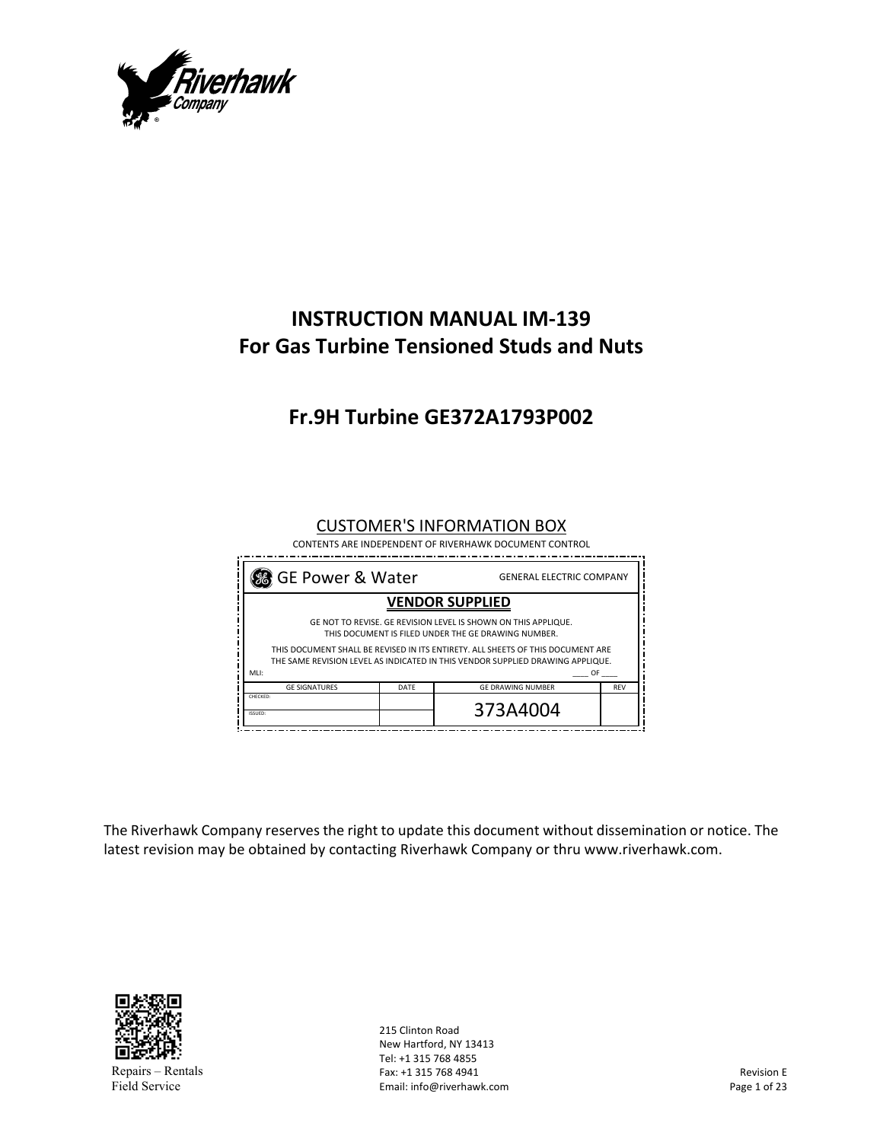

# **INSTRUCTION MANUAL IM‐139 For Gas Turbine Tensioned Studs and Nuts**

# **Fr.9H Turbine GE372A1793P002**

#### CUSTOMER'S INFORMATION BOX

 CONTENTS ARE INDEPENDENT OF RIVERHAWK DOCUMENT CONTROL

| % GE Power & Water<br><b>GENERAL ELECTRIC COMPANY</b>                                                                                                             |                          |            |  |  |  |  |
|-------------------------------------------------------------------------------------------------------------------------------------------------------------------|--------------------------|------------|--|--|--|--|
| <b>VENDOR SUPPLIED</b>                                                                                                                                            |                          |            |  |  |  |  |
| GE NOT TO REVISE. GE REVISION LEVEL IS SHOWN ON THIS APPLIQUE.<br>THIS DOCUMENT IS FILED UNDER THE GE DRAWING NUMBER.                                             |                          |            |  |  |  |  |
| THIS DOCUMENT SHALL BE REVISED IN ITS ENTIRETY. ALL SHEETS OF THIS DOCUMENT ARE<br>THE SAME REVISION LEVEL AS INDICATED IN THIS VENDOR SUPPLIED DRAWING APPLIQUE. |                          |            |  |  |  |  |
|                                                                                                                                                                   |                          | OF         |  |  |  |  |
| DATE                                                                                                                                                              | <b>GE DRAWING NUMBER</b> | <b>REV</b> |  |  |  |  |
|                                                                                                                                                                   | 373A4004                 |            |  |  |  |  |
|                                                                                                                                                                   |                          |            |  |  |  |  |

The Riverhawk Company reserves the right to update this document without dissemination or notice. The latest revision may be obtained by contacting Riverhawk Company or thru www.riverhawk.com.



215 Clinton Road New Hartford, NY 13413 Tel: +1 315 768 4855 Fax: +1 315 768 4941 Email: info@riverhawk.com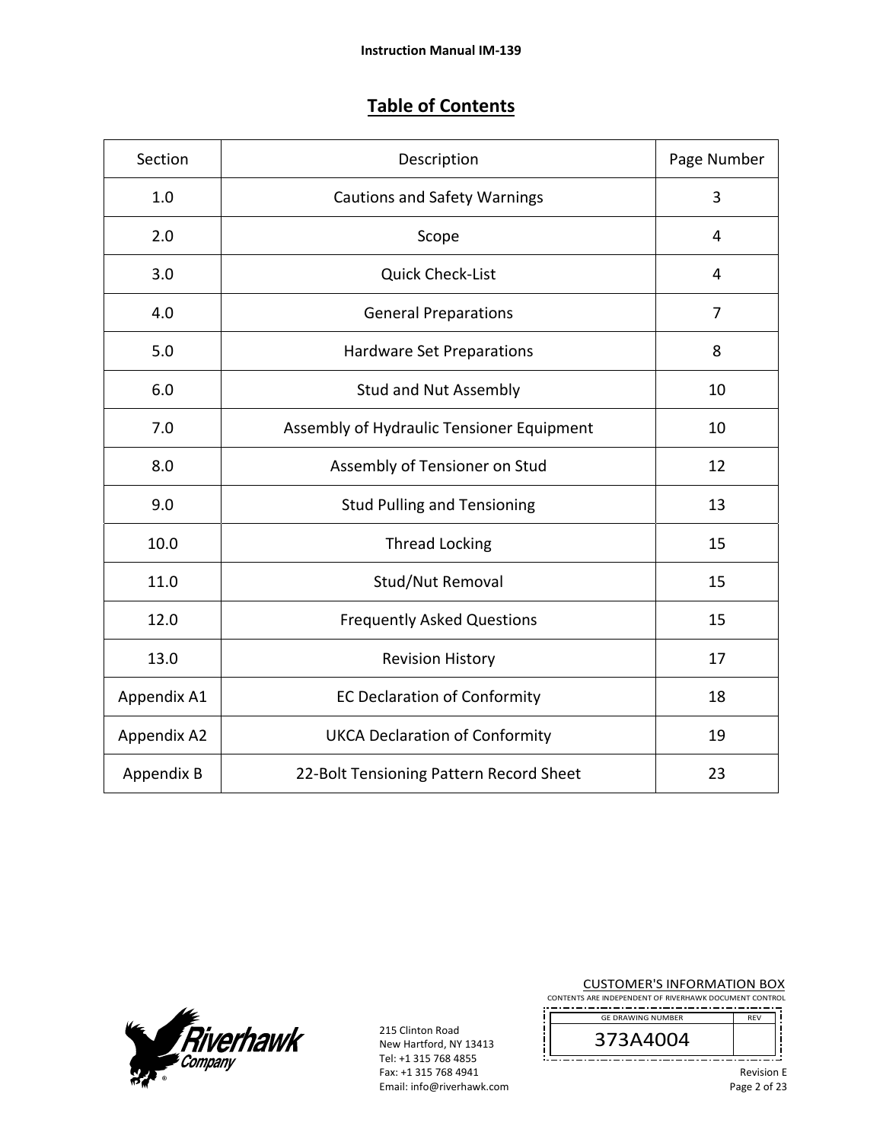## **Table of Contents**

| Section     | Description                               | Page Number |
|-------------|-------------------------------------------|-------------|
| 1.0         | <b>Cautions and Safety Warnings</b>       | 3           |
| 2.0         | Scope                                     | 4           |
| 3.0         | <b>Quick Check-List</b>                   | 4           |
| 4.0         | <b>General Preparations</b>               | 7           |
| 5.0         | <b>Hardware Set Preparations</b>          | 8           |
| 6.0         | <b>Stud and Nut Assembly</b>              | 10          |
| 7.0         | Assembly of Hydraulic Tensioner Equipment | 10          |
| 8.0         | Assembly of Tensioner on Stud             | 12          |
| 9.0         | <b>Stud Pulling and Tensioning</b>        | 13          |
| 10.0        | <b>Thread Locking</b>                     | 15          |
| 11.0        | Stud/Nut Removal                          | 15          |
| 12.0        | <b>Frequently Asked Questions</b>         | 15          |
| 13.0        | <b>Revision History</b>                   | 17          |
| Appendix A1 | <b>EC Declaration of Conformity</b>       | 18          |
| Appendix A2 | <b>UKCA Declaration of Conformity</b>     | 19          |
| Appendix B  | 22-Bolt Tensioning Pattern Record Sheet   | 23          |



215 Clinton Road New Hartford, NY 13413 Tel: +1 315 768 4855 Fax: +1 315 768 4941 Email: info@riverhawk.com

į

CUSTOMER'S INFORMATION BOX

CONTENTS ARE INDEPENDENT OF RIVERHAWK DOCUMENT CONTROL REV GE DRAWING NUMBER



׀<br>֡׀ׇ \_.................. Revision E

Page 2 of 23

Ī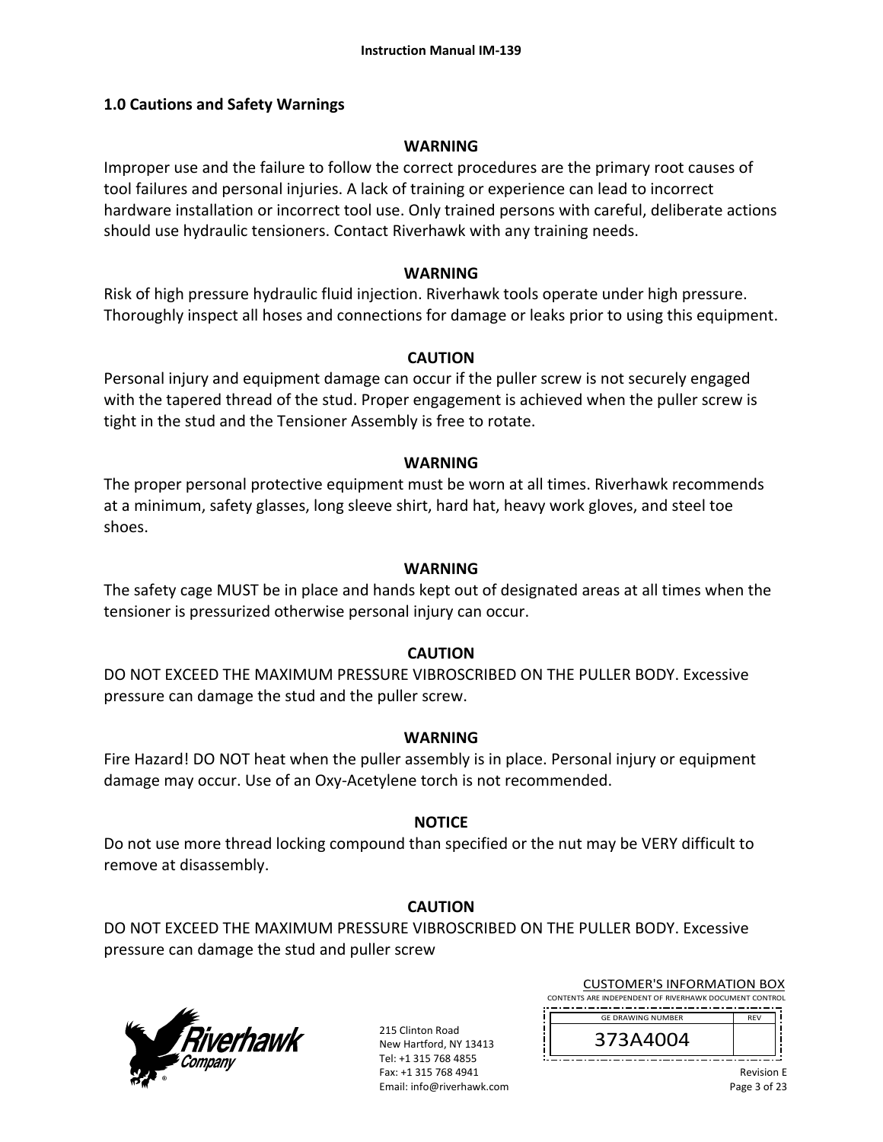#### **1.0 Cautions and Safety Warnings**

#### **WARNING**

Improper use and the failure to follow the correct procedures are the primary root causes of tool failures and personal injuries. A lack of training or experience can lead to incorrect hardware installation or incorrect tool use. Only trained persons with careful, deliberate actions should use hydraulic tensioners. Contact Riverhawk with any training needs.

#### **WARNING**

Risk of high pressure hydraulic fluid injection. Riverhawk tools operate under high pressure. Thoroughly inspect all hoses and connections for damage or leaks prior to using this equipment.

#### **CAUTION**

Personal injury and equipment damage can occur if the puller screw is not securely engaged with the tapered thread of the stud. Proper engagement is achieved when the puller screw is tight in the stud and the Tensioner Assembly is free to rotate.

#### **WARNING**

The proper personal protective equipment must be worn at all times. Riverhawk recommends at a minimum, safety glasses, long sleeve shirt, hard hat, heavy work gloves, and steel toe shoes.

#### **WARNING**

The safety cage MUST be in place and hands kept out of designated areas at all times when the tensioner is pressurized otherwise personal injury can occur.

#### **CAUTION**

DO NOT EXCEED THE MAXIMUM PRESSURE VIBROSCRIBED ON THE PULLER BODY. Excessive pressure can damage the stud and the puller screw.

#### **WARNING**

Fire Hazard! DO NOT heat when the puller assembly is in place. Personal injury or equipment damage may occur. Use of an Oxy‐Acetylene torch is not recommended.

#### **NOTICE**

Do not use more thread locking compound than specified or the nut may be VERY difficult to remove at disassembly.

#### **CAUTION**

DO NOT EXCEED THE MAXIMUM PRESSURE VIBROSCRIBED ON THE PULLER BODY. Excessive pressure can damage the stud and puller screw



215 Clinton Road New Hartford, NY 13413 Tel: +1 315 768 4855 Fax: +1 315 768 4941 Email: info@riverhawk.com

CUSTOMER'S INFORMATION BOX CONTENTS ARE INDEPENDENT OF RIVERHAWK DOCUMENT CONTROL

-------------------------------------REV GE DRAWING NUMBER

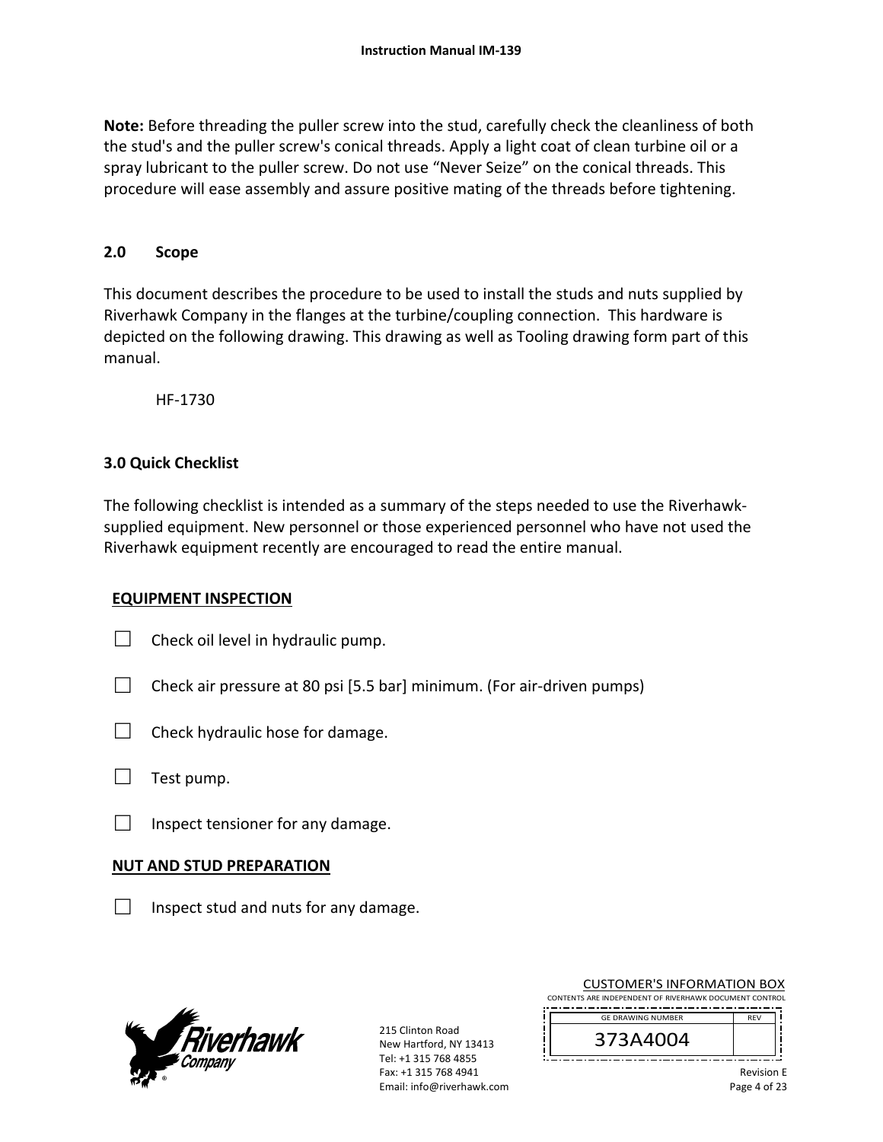**Note:** Before threading the puller screw into the stud, carefully check the cleanliness of both the stud's and the puller screw's conical threads. Apply a light coat of clean turbine oil or a spray lubricant to the puller screw. Do not use "Never Seize" on the conical threads. This procedure will ease assembly and assure positive mating of the threads before tightening.

#### **2.0 Scope**

This document describes the procedure to be used to install the studs and nuts supplied by Riverhawk Company in the flanges at the turbine/coupling connection. This hardware is depicted on the following drawing. This drawing as well as Tooling drawing form part of this manual.

HF‐1730

#### **3.0 Quick Checklist**

The following checklist is intended as a summary of the steps needed to use the Riverhawk‐ supplied equipment. New personnel or those experienced personnel who have not used the Riverhawk equipment recently are encouraged to read the entire manual.

#### **EQUIPMENT INSPECTION**

- $\Box$  Check oil level in hydraulic pump.
- $\Box$  Check air pressure at 80 psi [5.5 bar] minimum. (For air-driven pumps)
- $\Box$  Check hydraulic hose for damage.
- $\Box$  Test pump.
- $\Box$  Inspect tensioner for any damage.

#### **NUT AND STUD PREPARATION**

 $\Box$  Inspect stud and nuts for any damage.



215 Clinton Road New Hartford, NY 13413 Tel: +1 315 768 4855 Fax: +1 315 768 4941 Email: info@riverhawk.com

| CONTENTS ARE INDEPENDENT OF RIVERHAWK DOCUMENT CONTROL |            |
|--------------------------------------------------------|------------|
| <b>GE DRAWING NUMBER</b>                               | <b>RFV</b> |
| 373A4004                                               |            |

CUSTOMER'S INFORMATION BOX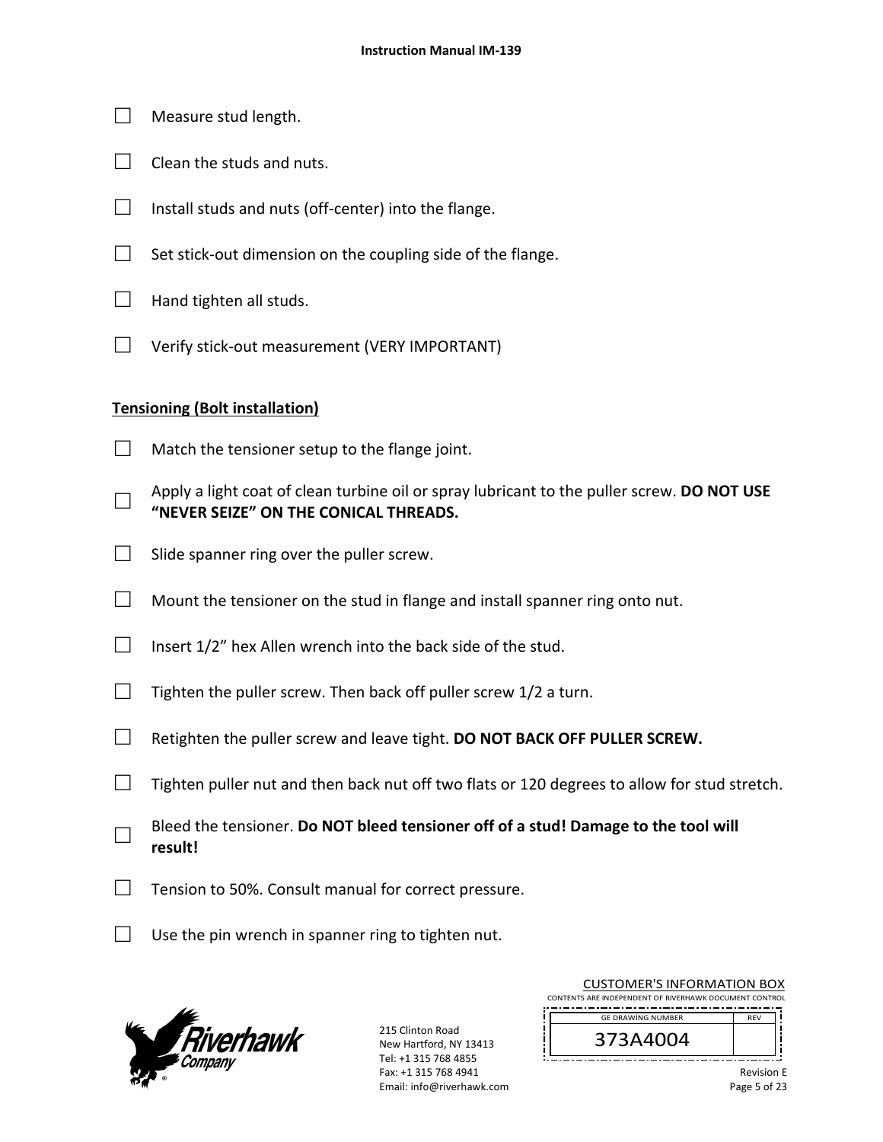- $\Box$  Measure stud length.
- $\Box$  Clean the studs and nuts.
- □ Install studs and nuts (off-center) into the flange.
- $\Box$  Set stick-out dimension on the coupling side of the flange.
- $\Box$  Hand tighten all studs.
- □ Verify stick‐out measurement (VERY IMPORTANT)

#### **Tensioning (Bolt installation)**

- $\Box$  Match the tensioner setup to the flange joint.
- □ Apply a light coat of clean turbine oil or spray lubricant to the puller screw. **DO NOT USE "NEVER SEIZE" ON THE CONICAL THREADS.**
- $\Box$  Slide spanner ring over the puller screw.
- $\Box$  Mount the tensioner on the stud in flange and install spanner ring onto nut.
- $\Box$  Insert 1/2" hex Allen wrench into the back side of the stud.
- $\Box$  Tighten the puller screw. Then back off puller screw 1/2 a turn.
- □ Retighten the puller screw and leave tight. **DO NOT BACK OFF PULLER SCREW.**
- $\Box$  Tighten puller nut and then back nut off two flats or 120 degrees to allow for stud stretch.
- □ Bleed the tensioner. **Do NOT bleed tensioner off of a stud! Damage to the tool will result!**
- $\Box$  Tension to 50%. Consult manual for correct pressure.
- $\Box$  Use the pin wrench in spanner ring to tighten nut.



215 Clinton Road New Hartford, NY 13413 Tel: +1 315 768 4855 Fax: +1 315 768 4941 Email: info@riverhawk.com

| <b>CUSTOMER'S INFORMATION BOX</b>                      |            |  |
|--------------------------------------------------------|------------|--|
| CONTENTS ARE INDEPENDENT OF RIVERHAWK DOCUMENT CONTROL |            |  |
| <b>GE DRAWING NUMBER</b>                               | <b>RFV</b> |  |
|                                                        |            |  |



Revision E Page 5 of 23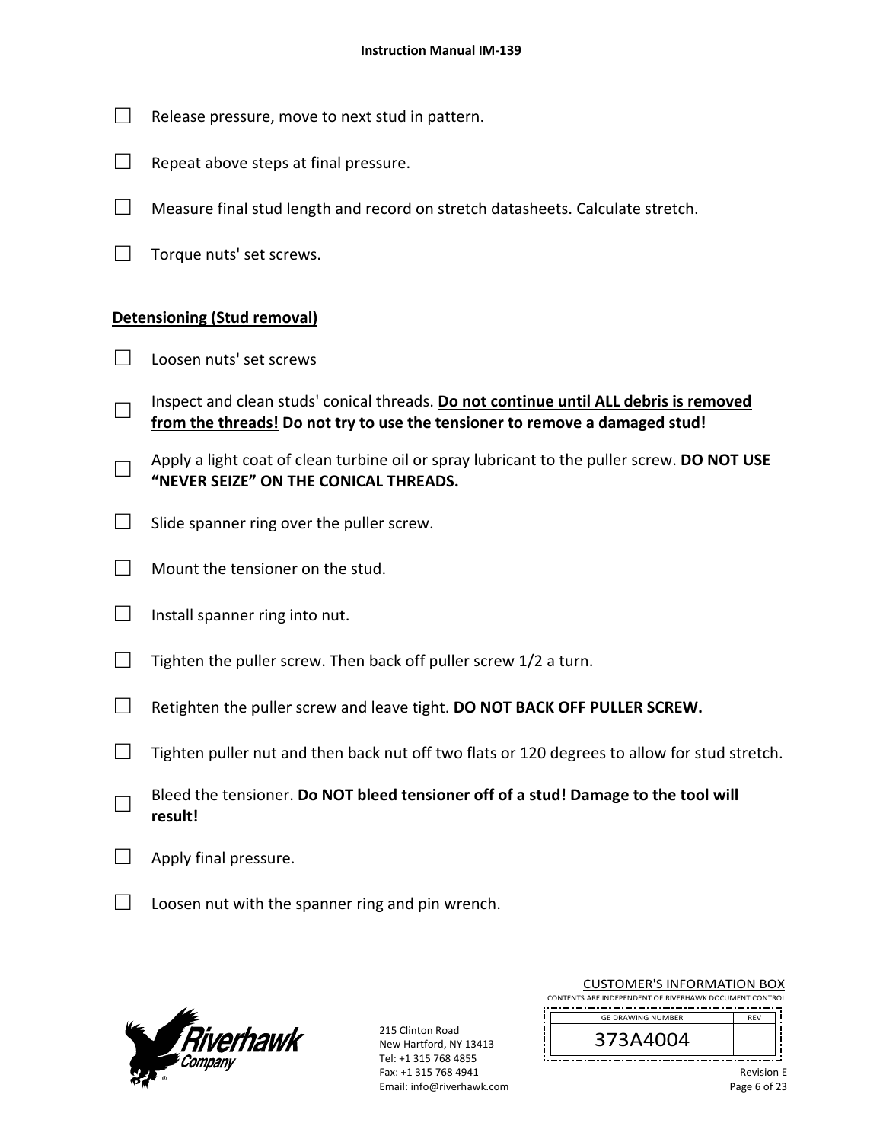- $\Box$  Release pressure, move to next stud in pattern.
- $\Box$  Repeat above steps at final pressure.
- $\Box$  Measure final stud length and record on stretch datasheets. Calculate stretch.
- $\Box$  Torque nuts' set screws.

#### **Detensioning (Stud removal)**

- □ Loosen nuts' set screws
- □ Inspect and clean studs' conical threads. **Do not continue until ALL debris is removed from the threads! Do not try to use the tensioner to remove a damaged stud!**
- □ Apply a light coat of clean turbine oil or spray lubricant to the puller screw. **DO NOT USE "NEVER SEIZE" ON THE CONICAL THREADS.**
- $\Box$  Slide spanner ring over the puller screw.
- $\Box$  Mount the tensioner on the stud.
- $\Box$  Install spanner ring into nut.
- $\Box$  Tighten the puller screw. Then back off puller screw 1/2 a turn.
- □ Retighten the puller screw and leave tight. **DO NOT BACK OFF PULLER SCREW.**
- $\Box$  Tighten puller nut and then back nut off two flats or 120 degrees to allow for stud stretch.
- □ Bleed the tensioner. **Do NOT bleed tensioner off of a stud! Damage to the tool will result!**
- $\Box$  Apply final pressure.
- $\Box$  Loosen nut with the spanner ring and pin wrench.



215 Clinton Road New Hartford, NY 13413 Tel: +1 315 768 4855 Fax: +1 315 768 4941 Email: info@riverhawk.com

|  |  | <b>CUSTOMER'S INFORMATION BOX</b>                      |  |  |
|--|--|--------------------------------------------------------|--|--|
|  |  | CONTENTS ARE INDEPENDENT OF RIVERHAWK DOCUMENT CONTROL |  |  |

-------------------------------------REV GE DRAWING NUMBER

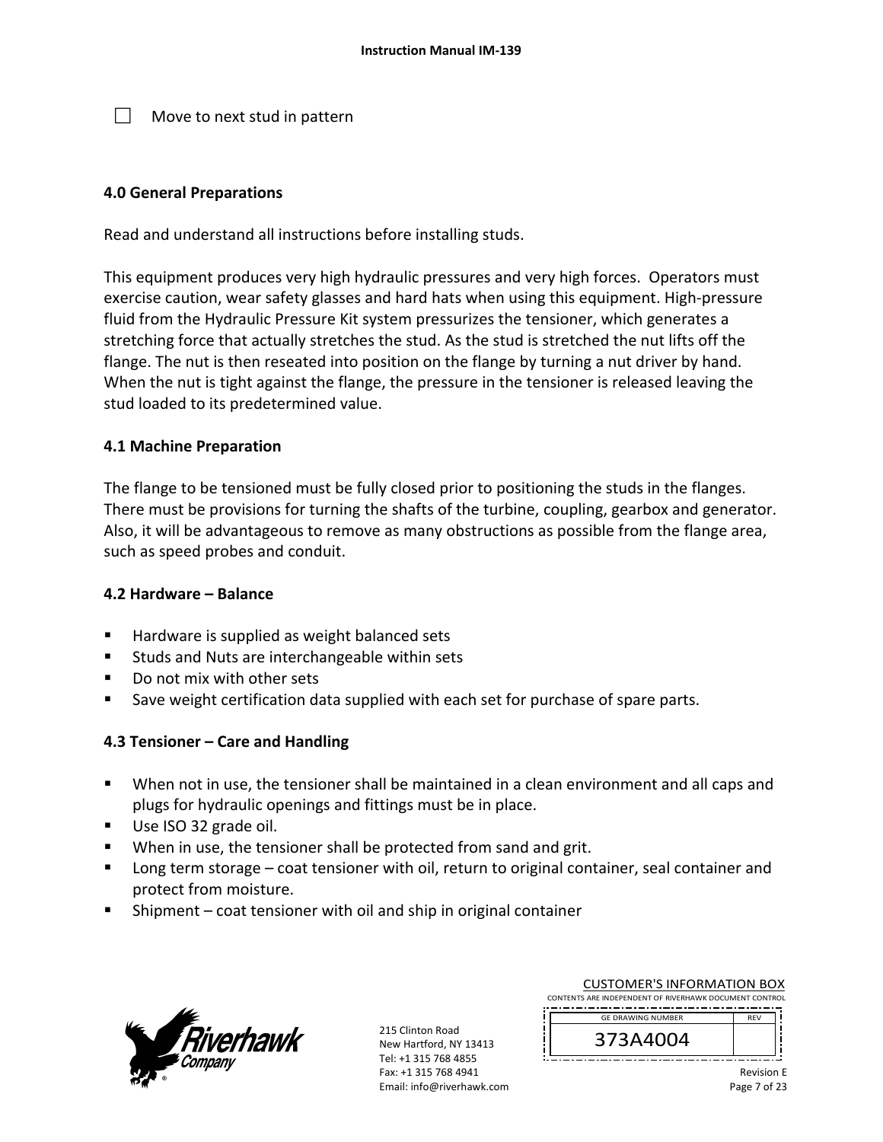$\Box$  Move to next stud in pattern

#### **4.0 General Preparations**

Read and understand all instructions before installing studs.

This equipment produces very high hydraulic pressures and very high forces. Operators must exercise caution, wear safety glasses and hard hats when using this equipment. High‐pressure fluid from the Hydraulic Pressure Kit system pressurizes the tensioner, which generates a stretching force that actually stretches the stud. As the stud is stretched the nut lifts off the flange. The nut is then reseated into position on the flange by turning a nut driver by hand. When the nut is tight against the flange, the pressure in the tensioner is released leaving the stud loaded to its predetermined value.

#### **4.1 Machine Preparation**

The flange to be tensioned must be fully closed prior to positioning the studs in the flanges. There must be provisions for turning the shafts of the turbine, coupling, gearbox and generator. Also, it will be advantageous to remove as many obstructions as possible from the flange area, such as speed probes and conduit.

#### **4.2 Hardware – Balance**

- Hardware is supplied as weight balanced sets
- Studs and Nuts are interchangeable within sets
- Do not mix with other sets
- Save weight certification data supplied with each set for purchase of spare parts.

#### **4.3 Tensioner – Care and Handling**

- When not in use, the tensioner shall be maintained in a clean environment and all caps and plugs for hydraulic openings and fittings must be in place.
- Use ISO 32 grade oil.
- When in use, the tensioner shall be protected from sand and grit.
- **Long term storage coat tensioner with oil, return to original container, seal container and** protect from moisture.
- Shipment coat tensioner with oil and ship in original container



215 Clinton Road New Hartford, NY 13413 Tel: +1 315 768 4855 Fax: +1 315 768 4941 Email: info@riverhawk.com

| <b>CUSTOMER'S INFORMATION BOX</b>                      |  |  |
|--------------------------------------------------------|--|--|
| CONTENTS ARE INDEPENDENT OF RIVERHAWK DOCUMENT CONTROL |  |  |

-------------------------------------REV GE DRAWING NUMBER



Revision E Page 7 of 23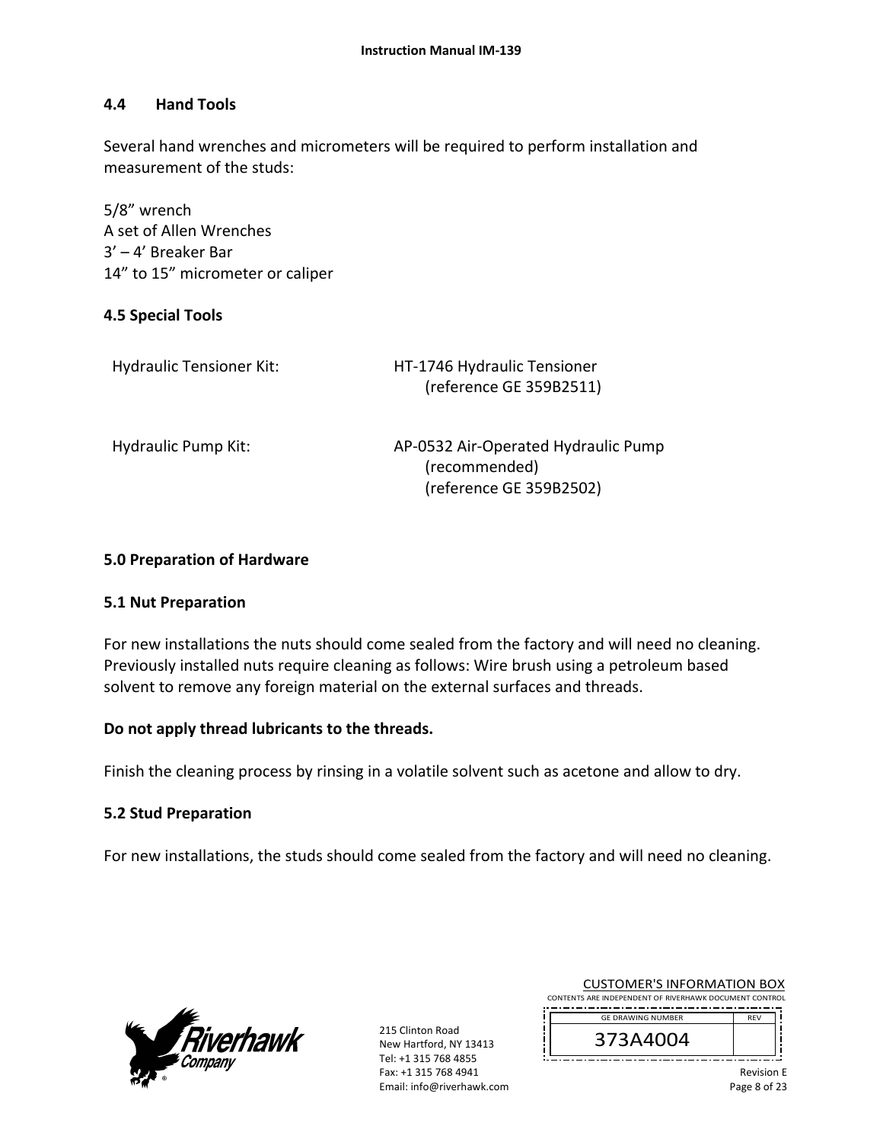#### **4.4 Hand Tools**

Several hand wrenches and micrometers will be required to perform installation and measurement of the studs:

5/8" wrench A set of Allen Wrenches 3' – 4' Breaker Bar 14" to 15" micrometer or caliper

#### **4.5 Special Tools**

| <b>Hydraulic Tensioner Kit:</b> | HT-1746 Hydraulic Tensioner<br>(reference GE 359B2511)                          |
|---------------------------------|---------------------------------------------------------------------------------|
| Hydraulic Pump Kit:             | AP-0532 Air-Operated Hydraulic Pump<br>(recommended)<br>(reference GE 359B2502) |

#### **5.0 Preparation of Hardware**

#### **5.1 Nut Preparation**

For new installations the nuts should come sealed from the factory and will need no cleaning. Previously installed nuts require cleaning as follows: Wire brush using a petroleum based solvent to remove any foreign material on the external surfaces and threads.

#### **Do not apply thread lubricants to the threads.**

Finish the cleaning process by rinsing in a volatile solvent such as acetone and allow to dry.

#### **5.2 Stud Preparation**

For new installations, the studs should come sealed from the factory and will need no cleaning.



215 Clinton Road New Hartford, NY 13413 Tel: +1 315 768 4855 Fax: +1 315 768 4941 Email: info@riverhawk.com

CUSTOMER'S INFORMATION BOX CONTENTS ARE INDEPENDENT OF RIVERHAWK DOCUMENT CONTROL

 REV GE DRAWING NUMBER

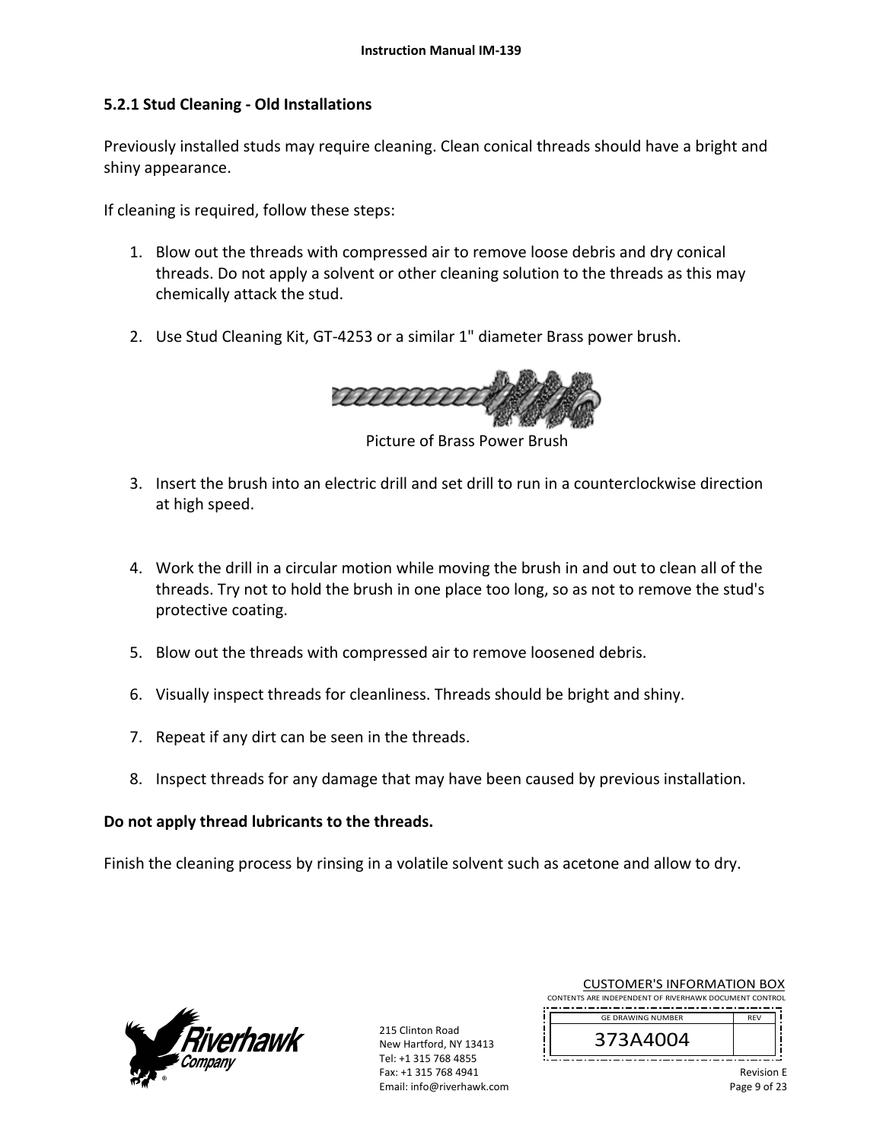#### **5.2.1 Stud Cleaning ‐ Old Installations**

Previously installed studs may require cleaning. Clean conical threads should have a bright and shiny appearance.

If cleaning is required, follow these steps:

- 1. Blow out the threads with compressed air to remove loose debris and dry conical threads. Do not apply a solvent or other cleaning solution to the threads as this may chemically attack the stud.
- 2. Use Stud Cleaning Kit, GT‐4253 or a similar 1" diameter Brass power brush.



Picture of Brass Power Brush

- 3. Insert the brush into an electric drill and set drill to run in a counterclockwise direction at high speed.
- 4. Work the drill in a circular motion while moving the brush in and out to clean all of the threads. Try not to hold the brush in one place too long, so as not to remove the stud's protective coating.
- 5. Blow out the threads with compressed air to remove loosened debris.
- 6. Visually inspect threads for cleanliness. Threads should be bright and shiny.
- 7. Repeat if any dirt can be seen in the threads.
- 8. Inspect threads for any damage that may have been caused by previous installation.

#### **Do not apply thread lubricants to the threads.**

Finish the cleaning process by rinsing in a volatile solvent such as acetone and allow to dry.



215 Clinton Road New Hartford, NY 13413 Tel: +1 315 768 4855 Fax: +1 315 768 4941 Email: info@riverhawk.com

|  |  | <b>CUSTOMER'S INFORMATION BOX</b>                      |  |  |
|--|--|--------------------------------------------------------|--|--|
|  |  | CONTENTS ARE INDEPENDENT OF RIVERHAWK DOCUMENT CONTROL |  |  |

-------------------------------------REV GE DRAWING NUMBER

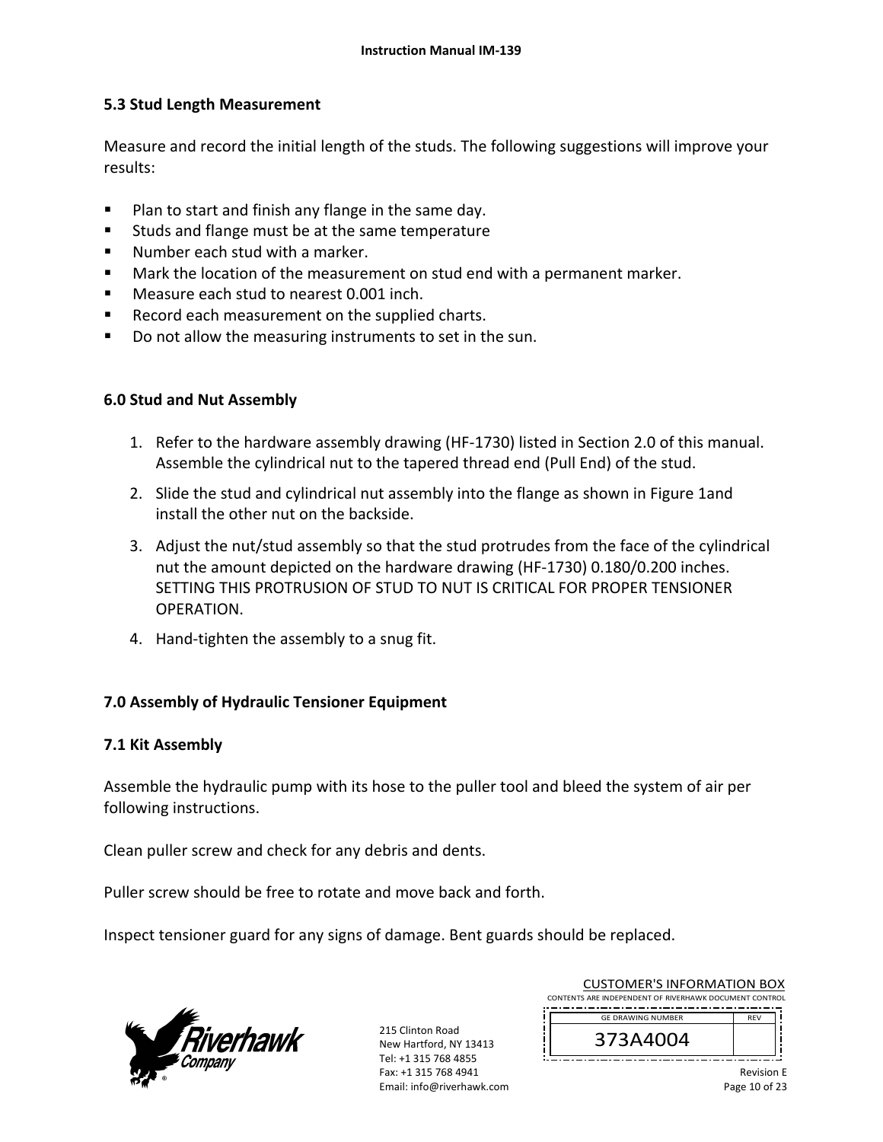#### **5.3 Stud Length Measurement**

Measure and record the initial length of the studs. The following suggestions will improve your results:

- Plan to start and finish any flange in the same day.
- Studs and flange must be at the same temperature
- Number each stud with a marker.
- **Mark the location of the measurement on stud end with a permanent marker.**
- Measure each stud to nearest 0.001 inch.
- Record each measurement on the supplied charts.
- Do not allow the measuring instruments to set in the sun.

#### **6.0 Stud and Nut Assembly**

- 1. Refer to the hardware assembly drawing (HF‐1730) listed in Section 2.0 of this manual. Assemble the cylindrical nut to the tapered thread end (Pull End) of the stud.
- 2. Slide the stud and cylindrical nut assembly into the flange as shown in Figure 1and install the other nut on the backside.
- 3. Adjust the nut/stud assembly so that the stud protrudes from the face of the cylindrical nut the amount depicted on the hardware drawing (HF‐1730) 0.180/0.200 inches. SETTING THIS PROTRUSION OF STUD TO NUT IS CRITICAL FOR PROPER TENSIONER OPERATION.
- 4. Hand-tighten the assembly to a snug fit.

#### **7.0 Assembly of Hydraulic Tensioner Equipment**

#### **7.1 Kit Assembly**

Assemble the hydraulic pump with its hose to the puller tool and bleed the system of air per following instructions.

Clean puller screw and check for any debris and dents.

Puller screw should be free to rotate and move back and forth.

Inspect tensioner guard for any signs of damage. Bent guards should be replaced.



215 Clinton Road New Hartford, NY 13413 Tel: +1 315 768 4855 Fax: +1 315 768 4941 Email: info@riverhawk.com

|                                                        | <b>CUSTOMER'S INFORMATION BOX</b> |  |
|--------------------------------------------------------|-----------------------------------|--|
| CONTENTS ARE INDEPENDENT OF RIVERHAWK DOCUMENT CONTROL |                                   |  |
|                                                        |                                   |  |

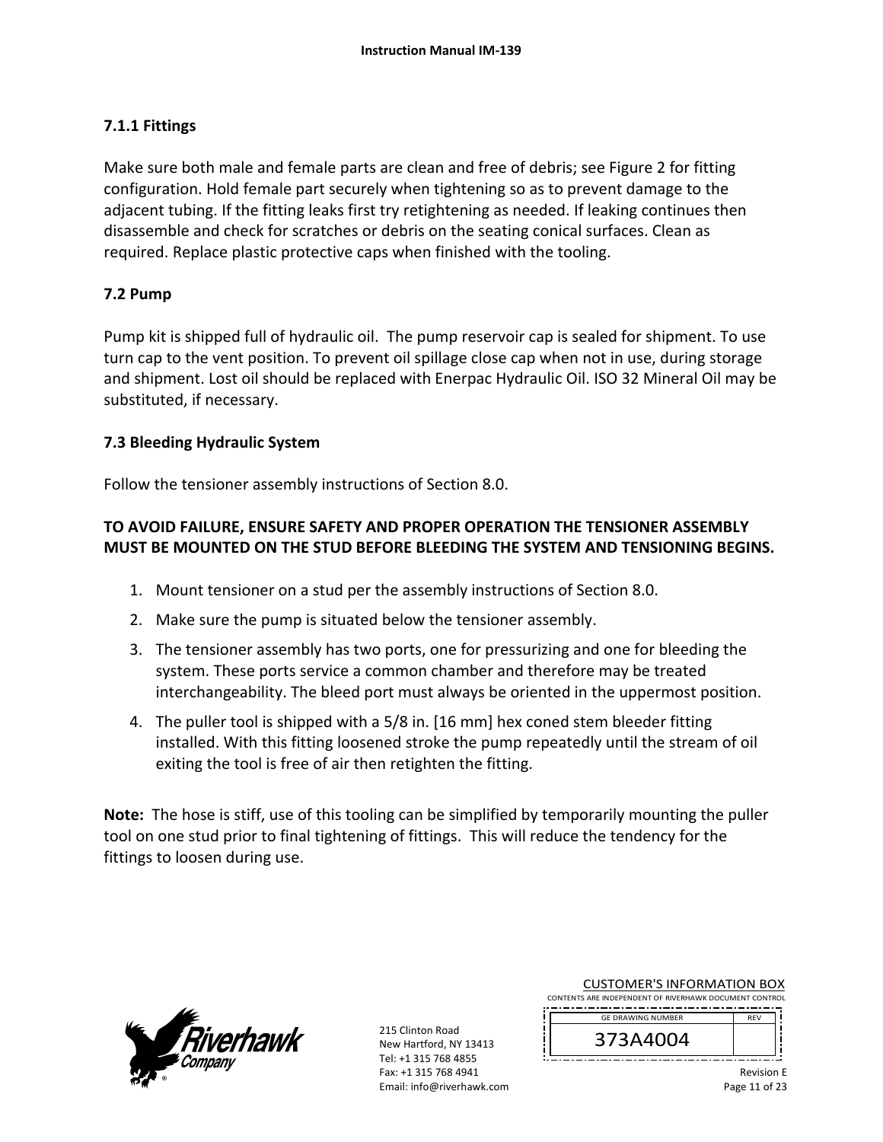#### **7.1.1 Fittings**

Make sure both male and female parts are clean and free of debris; see Figure 2 for fitting configuration. Hold female part securely when tightening so as to prevent damage to the adjacent tubing. If the fitting leaks first try retightening as needed. If leaking continues then disassemble and check for scratches or debris on the seating conical surfaces. Clean as required. Replace plastic protective caps when finished with the tooling.

#### **7.2 Pump**

Pump kit is shipped full of hydraulic oil. The pump reservoir cap is sealed for shipment. To use turn cap to the vent position. To prevent oil spillage close cap when not in use, during storage and shipment. Lost oil should be replaced with Enerpac Hydraulic Oil. ISO 32 Mineral Oil may be substituted, if necessary.

#### **7.3 Bleeding Hydraulic System**

Follow the tensioner assembly instructions of Section 8.0.

## **TO AVOID FAILURE, ENSURE SAFETY AND PROPER OPERATION THE TENSIONER ASSEMBLY MUST BE MOUNTED ON THE STUD BEFORE BLEEDING THE SYSTEM AND TENSIONING BEGINS.**

- 1. Mount tensioner on a stud per the assembly instructions of Section 8.0.
- 2. Make sure the pump is situated below the tensioner assembly.
- 3. The tensioner assembly has two ports, one for pressurizing and one for bleeding the system. These ports service a common chamber and therefore may be treated interchangeability. The bleed port must always be oriented in the uppermost position.
- 4. The puller tool is shipped with a 5/8 in. [16 mm] hex coned stem bleeder fitting installed. With this fitting loosened stroke the pump repeatedly until the stream of oil exiting the tool is free of air then retighten the fitting.

**Note:** The hose is stiff, use of this tooling can be simplified by temporarily mounting the puller tool on one stud prior to final tightening of fittings. This will reduce the tendency for the fittings to loosen during use.



215 Clinton Road New Hartford, NY 13413 Tel: +1 315 768 4855 Fax: +1 315 768 4941 Email: info@riverhawk.com

|                                                        |  |  | CUSTOMER'S INFORMATION BOX |  |  |  |
|--------------------------------------------------------|--|--|----------------------------|--|--|--|
| CONTENTS ARE INDEPENDENT OF RIVERHAWK DOCUMENT CONTROL |  |  |                            |  |  |  |
|                                                        |  |  |                            |  |  |  |

 $\overline{C}$ 

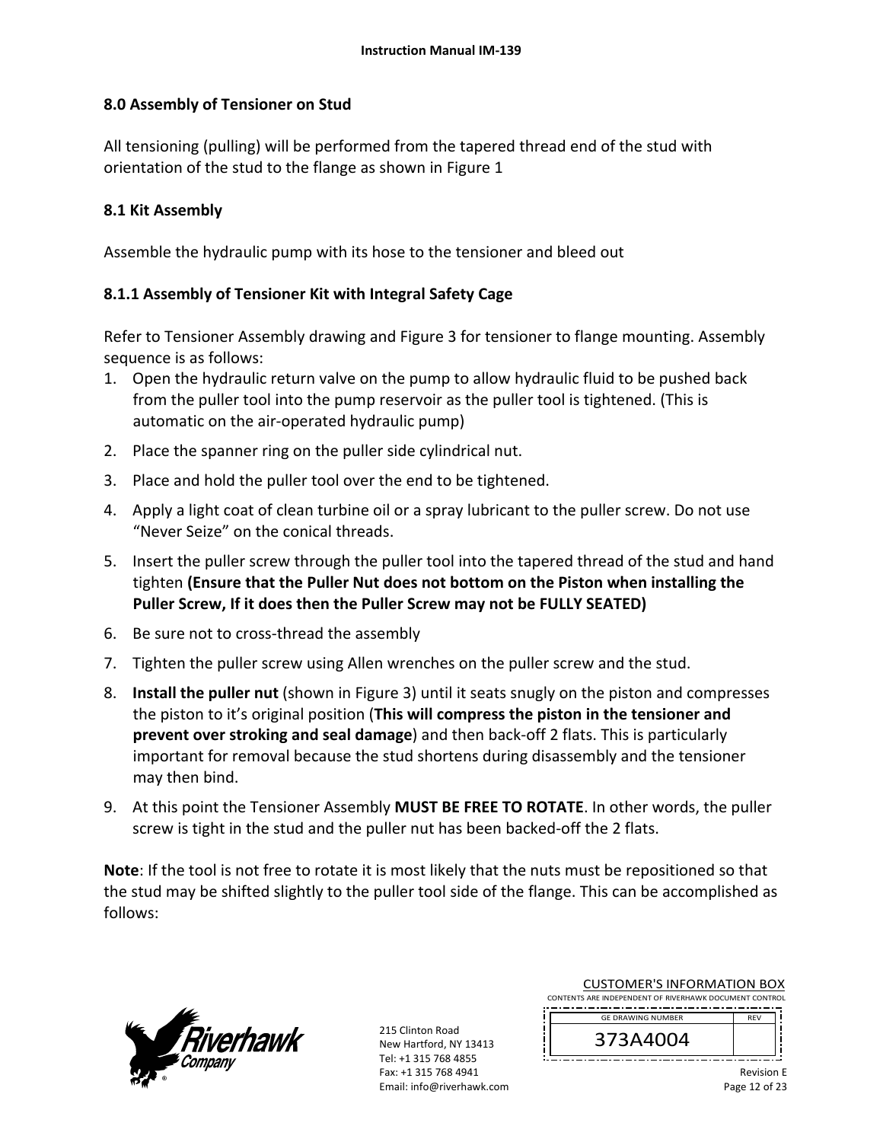#### **8.0 Assembly of Tensioner on Stud**

All tensioning (pulling) will be performed from the tapered thread end of the stud with orientation of the stud to the flange as shown in Figure 1

#### **8.1 Kit Assembly**

Assemble the hydraulic pump with its hose to the tensioner and bleed out

#### **8.1.1 Assembly of Tensioner Kit with Integral Safety Cage**

Refer to Tensioner Assembly drawing and Figure 3 for tensioner to flange mounting. Assembly sequence is as follows:

- 1. Open the hydraulic return valve on the pump to allow hydraulic fluid to be pushed back from the puller tool into the pump reservoir as the puller tool is tightened. (This is automatic on the air‐operated hydraulic pump)
- 2. Place the spanner ring on the puller side cylindrical nut.
- 3. Place and hold the puller tool over the end to be tightened.
- 4. Apply a light coat of clean turbine oil or a spray lubricant to the puller screw. Do not use "Never Seize" on the conical threads.
- 5. Insert the puller screw through the puller tool into the tapered thread of the stud and hand tighten **(Ensure that the Puller Nut does not bottom on the Piston when installing the Puller Screw, If it does then the Puller Screw may not be FULLY SEATED)**
- 6. Be sure not to cross‐thread the assembly
- 7. Tighten the puller screw using Allen wrenches on the puller screw and the stud.
- 8. **Install the puller nut** (shown in Figure 3) until it seats snugly on the piston and compresses the piston to it's original position (**This will compress the piston in the tensioner and prevent over stroking and seal damage**) and then back‐off 2 flats. This is particularly important for removal because the stud shortens during disassembly and the tensioner may then bind.
- 9. At this point the Tensioner Assembly **MUST BE FREE TO ROTATE**. In other words, the puller screw is tight in the stud and the puller nut has been backed-off the 2 flats.

**Note**: If the tool is not free to rotate it is most likely that the nuts must be repositioned so that the stud may be shifted slightly to the puller tool side of the flange. This can be accomplished as follows:



215 Clinton Road New Hartford, NY 13413 Tel: +1 315 768 4855 Fax: +1 315 768 4941 Email: info@riverhawk.com

| <b>CUSTOMER'S INFORMATION BOX</b>                      |  |  |
|--------------------------------------------------------|--|--|
| CONTENTS ARE INDEPENDENT OF RIVERHAWK DOCUMENT CONTROL |  |  |

-------------------------------------REV GE DRAWING NUMBER



Revision E Page 12 of 23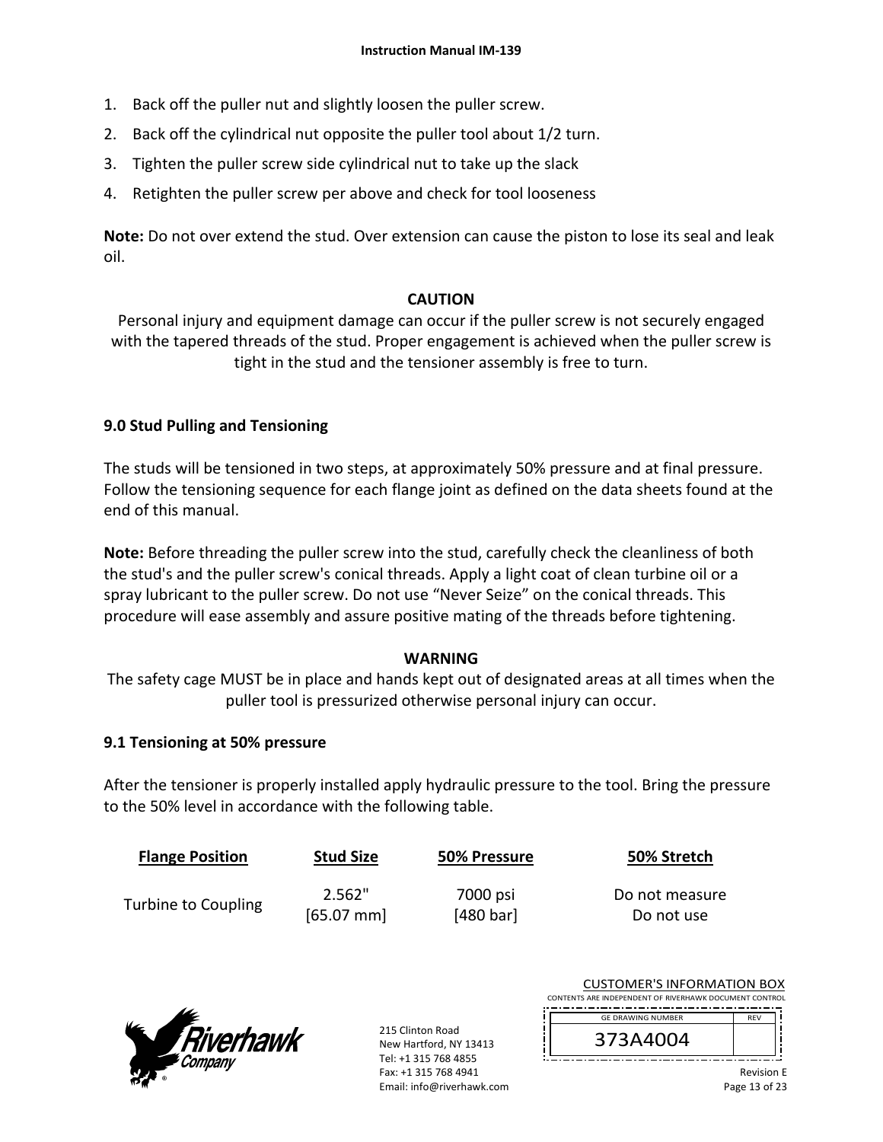- 1. Back off the puller nut and slightly loosen the puller screw.
- 2. Back off the cylindrical nut opposite the puller tool about 1/2 turn.
- 3. Tighten the puller screw side cylindrical nut to take up the slack
- 4. Retighten the puller screw per above and check for tool looseness

**Note:** Do not over extend the stud. Over extension can cause the piston to lose its seal and leak oil.

#### **CAUTION**

Personal injury and equipment damage can occur if the puller screw is not securely engaged with the tapered threads of the stud. Proper engagement is achieved when the puller screw is tight in the stud and the tensioner assembly is free to turn.

#### **9.0 Stud Pulling and Tensioning**

The studs will be tensioned in two steps, at approximately 50% pressure and at final pressure. Follow the tensioning sequence for each flange joint as defined on the data sheets found at the end of this manual.

**Note:** Before threading the puller screw into the stud, carefully check the cleanliness of both the stud's and the puller screw's conical threads. Apply a light coat of clean turbine oil or a spray lubricant to the puller screw. Do not use "Never Seize" on the conical threads. This procedure will ease assembly and assure positive mating of the threads before tightening.

#### **WARNING**

The safety cage MUST be in place and hands kept out of designated areas at all times when the puller tool is pressurized otherwise personal injury can occur.

#### **9.1 Tensioning at 50% pressure**

After the tensioner is properly installed apply hydraulic pressure to the tool. Bring the pressure to the 50% level in accordance with the following table.

| <b>Flange Position</b> | <b>Stud Size</b> | 50% Pressure | 50% Stretch    |
|------------------------|------------------|--------------|----------------|
| Turbine to Coupling    | 2.562"           | 7000 psi     | Do not measure |
|                        | $[65.07$ mm      | [480 bar]    | Do not use     |



215 Clinton Road New Hartford, NY 13413 Tel: +1 315 768 4855 Fax: +1 315 768 4941 Email: info@riverhawk.com

| <b>CUSTOMER'S INFORMATION BOX</b>                      |  |  |
|--------------------------------------------------------|--|--|
| CONTENTS ARE INDEPENDENT OF RIVERHAWK DOCUMENT CONTROL |  |  |



373A4004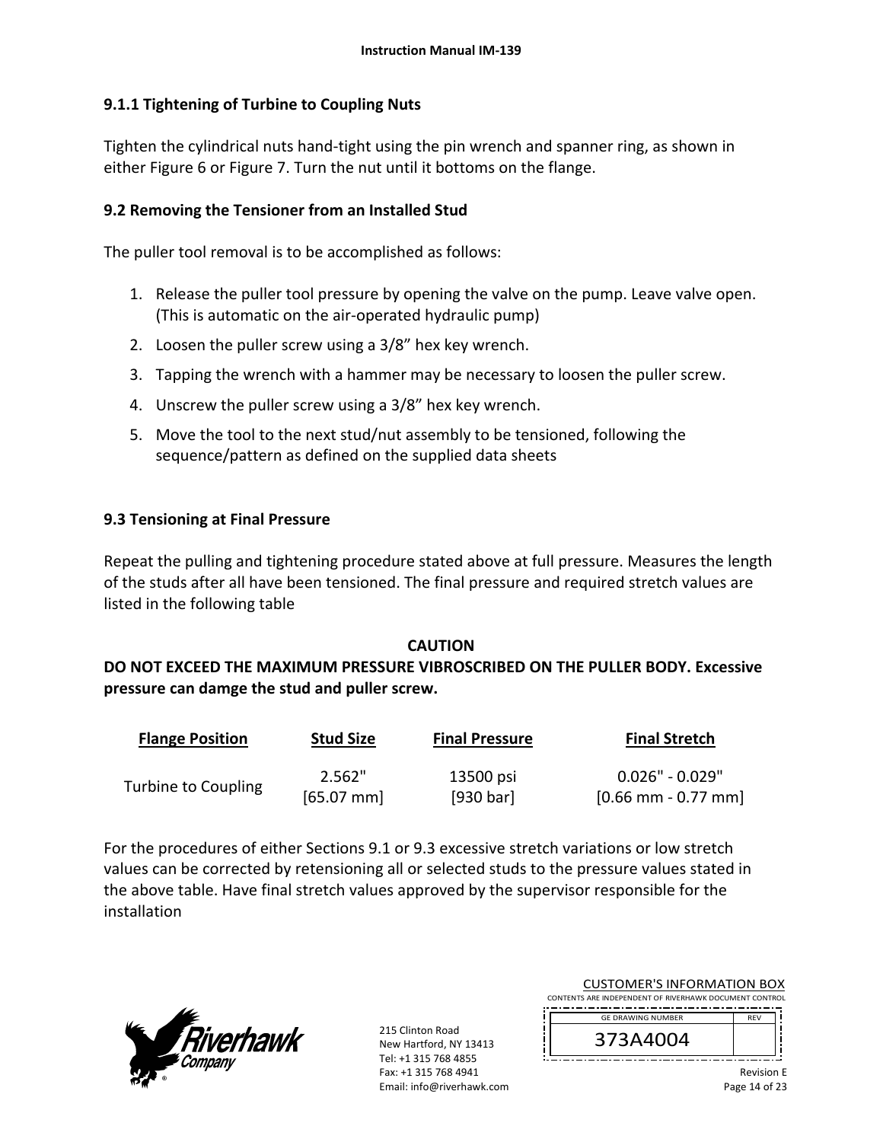#### **9.1.1 Tightening of Turbine to Coupling Nuts**

Tighten the cylindrical nuts hand‐tight using the pin wrench and spanner ring, as shown in either Figure 6 or Figure 7. Turn the nut until it bottoms on the flange.

#### **9.2 Removing the Tensioner from an Installed Stud**

The puller tool removal is to be accomplished as follows:

- 1. Release the puller tool pressure by opening the valve on the pump. Leave valve open. (This is automatic on the air‐operated hydraulic pump)
- 2. Loosen the puller screw using a 3/8" hex key wrench.
- 3. Tapping the wrench with a hammer may be necessary to loosen the puller screw.
- 4. Unscrew the puller screw using a 3/8" hex key wrench.
- 5. Move the tool to the next stud/nut assembly to be tensioned, following the sequence/pattern as defined on the supplied data sheets

#### **9.3 Tensioning at Final Pressure**

Repeat the pulling and tightening procedure stated above at full pressure. Measures the length of the studs after all have been tensioned. The final pressure and required stretch values are listed in the following table

#### **CAUTION**

## **DO NOT EXCEED THE MAXIMUM PRESSURE VIBROSCRIBED ON THE PULLER BODY. Excessive pressure can damge the stud and puller screw.**

| <b>Flange Position</b>     | <b>Stud Size</b> | <b>Final Pressure</b> | <b>Final Stretch</b> |
|----------------------------|------------------|-----------------------|----------------------|
|                            | 2.562"           | 13500 psi             | $0.026"$ - $0.029"$  |
| <b>Turbine to Coupling</b> | $[65.07$ mm      | [930 bar]             | $[0.66$ mm - 0.77 mm |

For the procedures of either Sections 9.1 or 9.3 excessive stretch variations or low stretch values can be corrected by retensioning all or selected studs to the pressure values stated in the above table. Have final stretch values approved by the supervisor responsible for the installation



215 Clinton Road New Hartford, NY 13413 Tel: +1 315 768 4855 Fax: +1 315 768 4941 Email: info@riverhawk.com

| CUSTUMER S INFORMATION BUX<br>CONTENTS ARE INDEPENDENT OF RIVERHAWK DOCUMENT CONTROL |            |  |
|--------------------------------------------------------------------------------------|------------|--|
| <b>GE DRAWING NUMBER</b>                                                             | <b>RFV</b> |  |
| 373A4004                                                                             |            |  |

CUCTOMER'S INFORMATION BOY

<u>! \_\_\_\_\_\_\_\_\_\_\_\_\_\_\_\_\_\_\_\_\_</u> Revision E Page 14 of 23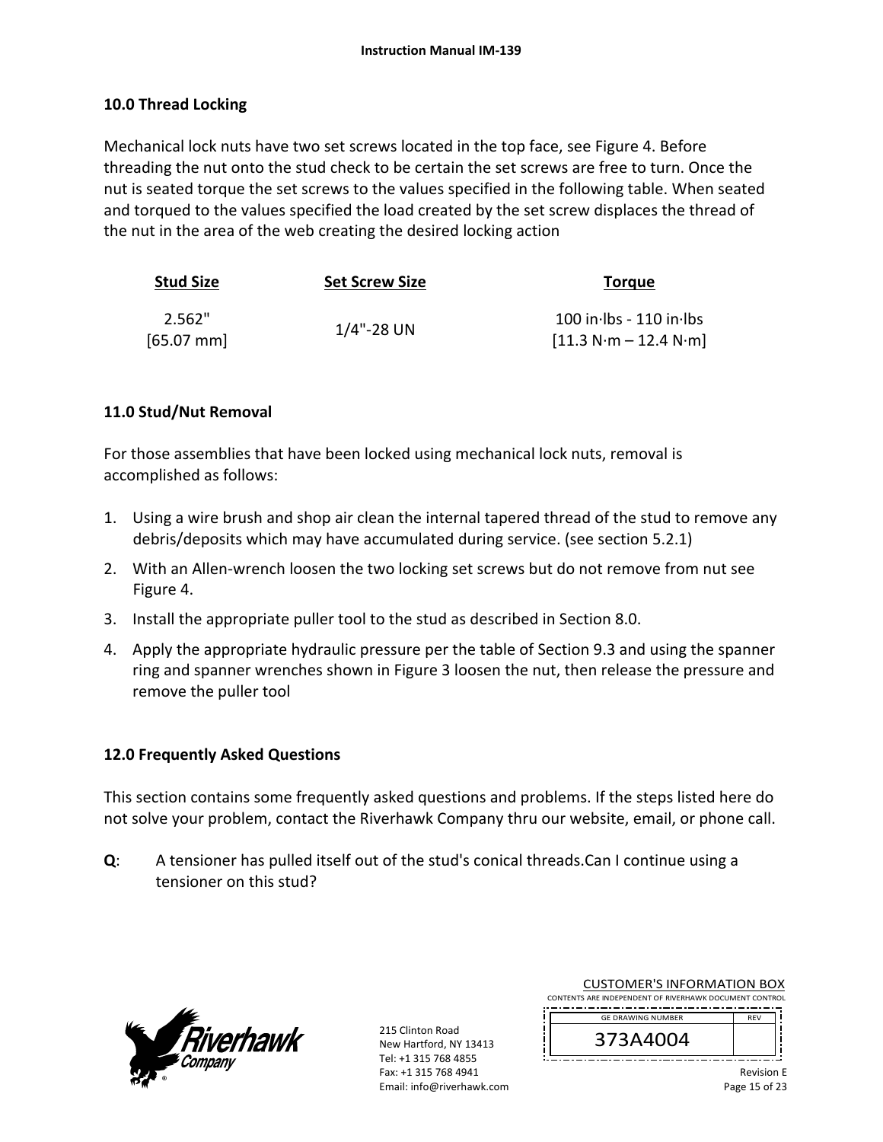#### **10.0 Thread Locking**

Mechanical lock nuts have two set screws located in the top face, see Figure 4. Before threading the nut onto the stud check to be certain the set screws are free to turn. Once the nut is seated torque the set screws to the values specified in the following table. When seated and torqued to the values specified the load created by the set screw displaces the thread of the nut in the area of the web creating the desired locking action

| <b>Stud Size</b>       | <b>Set Screw Size</b> | <b>Torque</b>                                          |
|------------------------|-----------------------|--------------------------------------------------------|
| 2.562"<br>$[65.07$ mm] | $1/4$ "-28 UN         | $100$ in lbs - $110$ in lbs<br>$[11.3 N·m - 12.4 N·m]$ |

#### **11.0 Stud/Nut Removal**

For those assemblies that have been locked using mechanical lock nuts, removal is accomplished as follows:

- 1. Using a wire brush and shop air clean the internal tapered thread of the stud to remove any debris/deposits which may have accumulated during service. (see section 5.2.1)
- 2. With an Allen-wrench loosen the two locking set screws but do not remove from nut see Figure 4.
- 3. Install the appropriate puller tool to the stud as described in Section 8.0.
- 4. Apply the appropriate hydraulic pressure per the table of Section 9.3 and using the spanner ring and spanner wrenches shown in Figure 3 loosen the nut, then release the pressure and remove the puller tool

#### **12.0 Frequently Asked Questions**

This section contains some frequently asked questions and problems. If the steps listed here do not solve your problem, contact the Riverhawk Company thru our website, email, or phone call.

**Q**: A tensioner has pulled itself out of the stud's conical threads.Can I continue using a tensioner on this stud?



215 Clinton Road New Hartford, NY 13413 Tel: +1 315 768 4855 Fax: +1 315 768 4941 Email: info@riverhawk.com

| <b>CUSTOMER'S INFORMATION BOX</b>                      |  |  |
|--------------------------------------------------------|--|--|
| CONTENTS ARE INDEPENDENT OF RIVERHAWK DOCUMENT CONTROL |  |  |

-------------------------------------REV GE DRAWING NUMBER

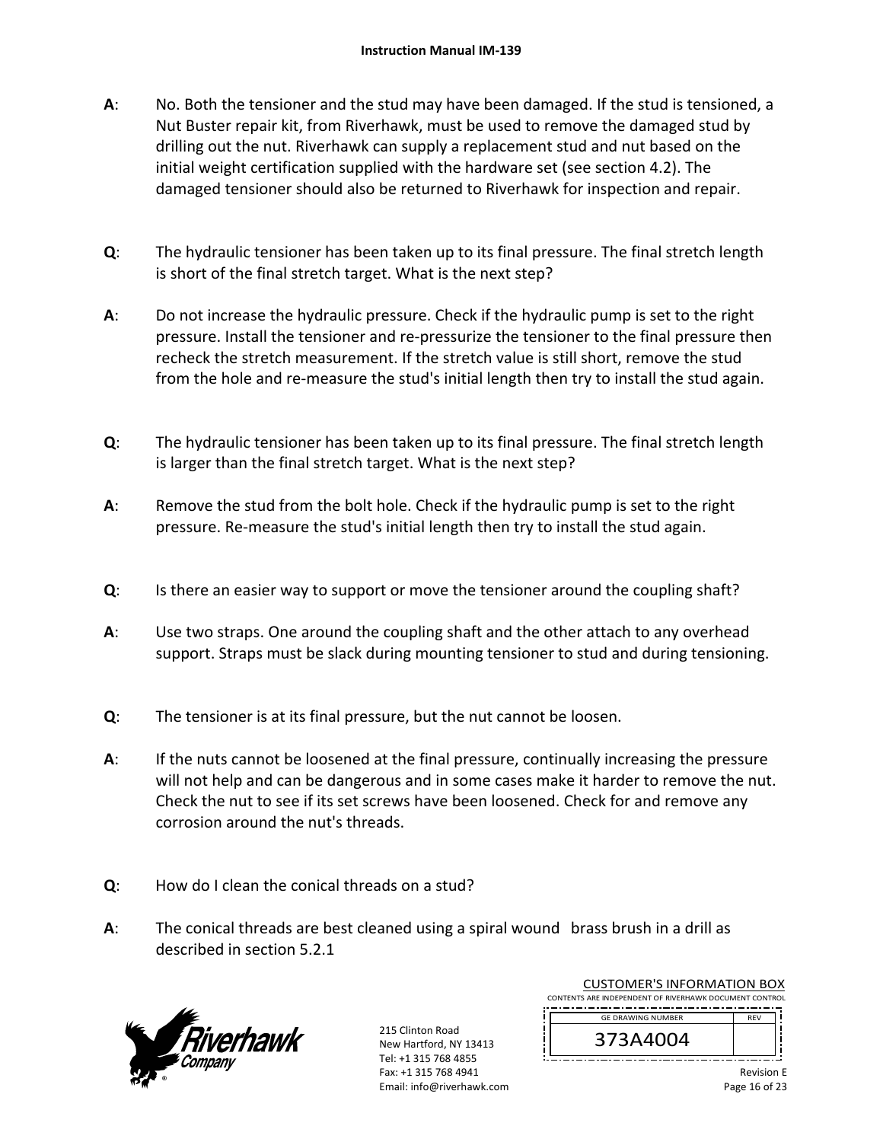- **A**: No. Both the tensioner and the stud may have been damaged. If the stud is tensioned, a Nut Buster repair kit, from Riverhawk, must be used to remove the damaged stud by drilling out the nut. Riverhawk can supply a replacement stud and nut based on the initial weight certification supplied with the hardware set (see section 4.2). The damaged tensioner should also be returned to Riverhawk for inspection and repair.
- **Q**: The hydraulic tensioner has been taken up to its final pressure. The final stretch length is short of the final stretch target. What is the next step?
- **A**: Do not increase the hydraulic pressure. Check if the hydraulic pump is set to the right pressure. Install the tensioner and re‐pressurize the tensioner to the final pressure then recheck the stretch measurement. If the stretch value is still short, remove the stud from the hole and re-measure the stud's initial length then try to install the stud again.
- **Q**: The hydraulic tensioner has been taken up to its final pressure. The final stretch length is larger than the final stretch target. What is the next step?
- **A**: Remove the stud from the bolt hole. Check if the hydraulic pump is set to the right pressure. Re-measure the stud's initial length then try to install the stud again.
- **Q**: Is there an easier way to support or move the tensioner around the coupling shaft?
- **A**: Use two straps. One around the coupling shaft and the other attach to any overhead support. Straps must be slack during mounting tensioner to stud and during tensioning.
- **Q**: The tensioner is at its final pressure, but the nut cannot be loosen.
- **A**: If the nuts cannot be loosened at the final pressure, continually increasing the pressure will not help and can be dangerous and in some cases make it harder to remove the nut. Check the nut to see if its set screws have been loosened. Check for and remove any corrosion around the nut's threads.
- **Q**: How do I clean the conical threads on a stud?
- **A**: The conical threads are best cleaned using a spiral wound brass brush in a drill as described in section 5.2.1



215 Clinton Road New Hartford, NY 13413 Tel: +1 315 768 4855 Fax: +1 315 768 4941 Email: info@riverhawk.com

CUSTOMER'S INFORMATION BOX CONTENTS ARE INDEPENDENT OF RIVERHAWK DOCUMENT CONTROL

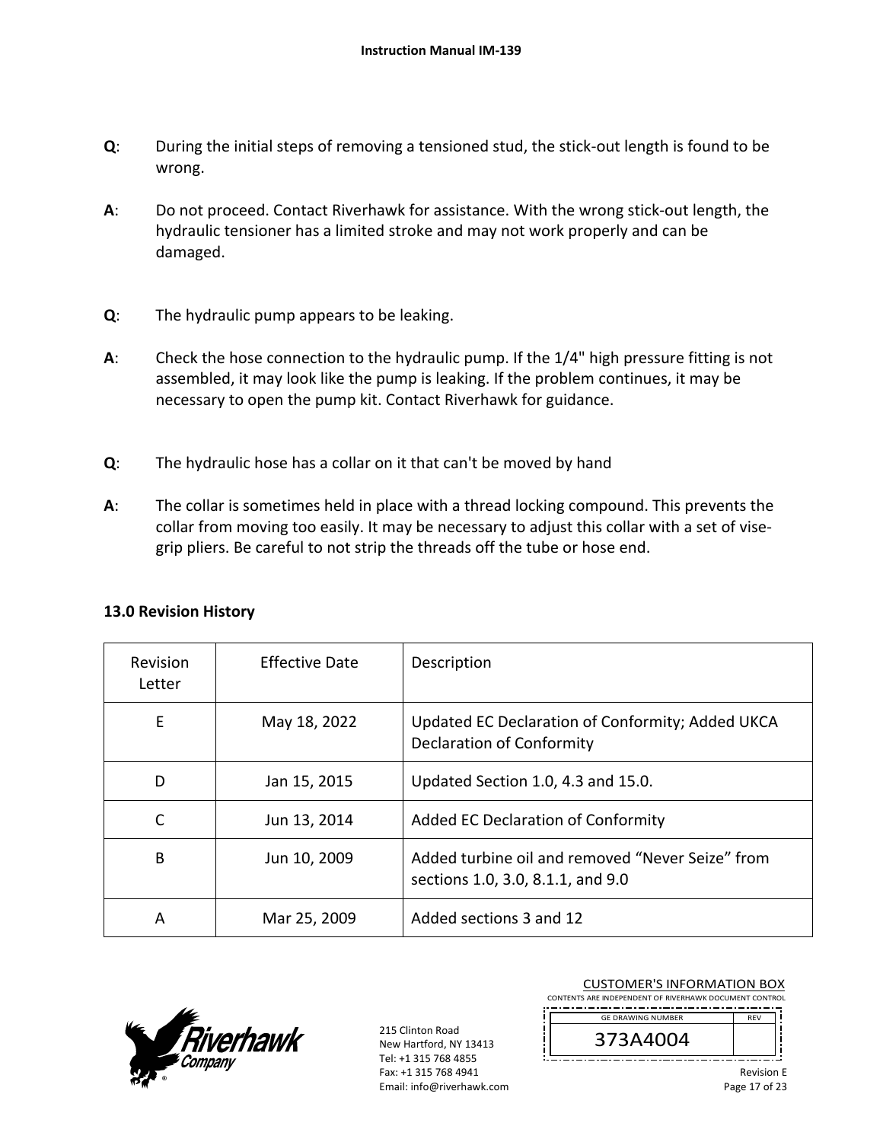- **Q**: During the initial steps of removing a tensioned stud, the stick-out length is found to be wrong.
- **A**: Do not proceed. Contact Riverhawk for assistance. With the wrong stick‐out length, the hydraulic tensioner has a limited stroke and may not work properly and can be damaged.
- **Q**: The hydraulic pump appears to be leaking.
- **A**: Check the hose connection to the hydraulic pump. If the 1/4" high pressure fitting is not assembled, it may look like the pump is leaking. If the problem continues, it may be necessary to open the pump kit. Contact Riverhawk for guidance.
- **Q**: The hydraulic hose has a collar on it that can't be moved by hand
- **A**: The collar is sometimes held in place with a thread locking compound. This prevents the collar from moving too easily. It may be necessary to adjust this collar with a set of vise‐ grip pliers. Be careful to not strip the threads off the tube or hose end.

| <b>Revision</b><br>Letter | <b>Effective Date</b> | Description                                                                           |
|---------------------------|-----------------------|---------------------------------------------------------------------------------------|
| E                         | May 18, 2022          | Updated EC Declaration of Conformity; Added UKCA<br><b>Declaration of Conformity</b>  |
| D                         | Jan 15, 2015          | Updated Section 1.0, 4.3 and 15.0.                                                    |
|                           | Jun 13, 2014          | Added EC Declaration of Conformity                                                    |
| B                         | Jun 10, 2009          | Added turbine oil and removed "Never Seize" from<br>sections 1.0, 3.0, 8.1.1, and 9.0 |
| A                         | Mar 25, 2009          | Added sections 3 and 12                                                               |

#### **13.0 Revision History**



215 Clinton Road New Hartford, NY 13413 Tel: +1 315 768 4855 Fax: +1 315 768 4941 Email: info@riverhawk.com

CUSTOMER'S INFORMATION BOX CONTENTS ARE INDEPENDENT OF RIVERHAWK DOCUMENT CONTROL

-----------------------REV GE DRAWING NUMBER

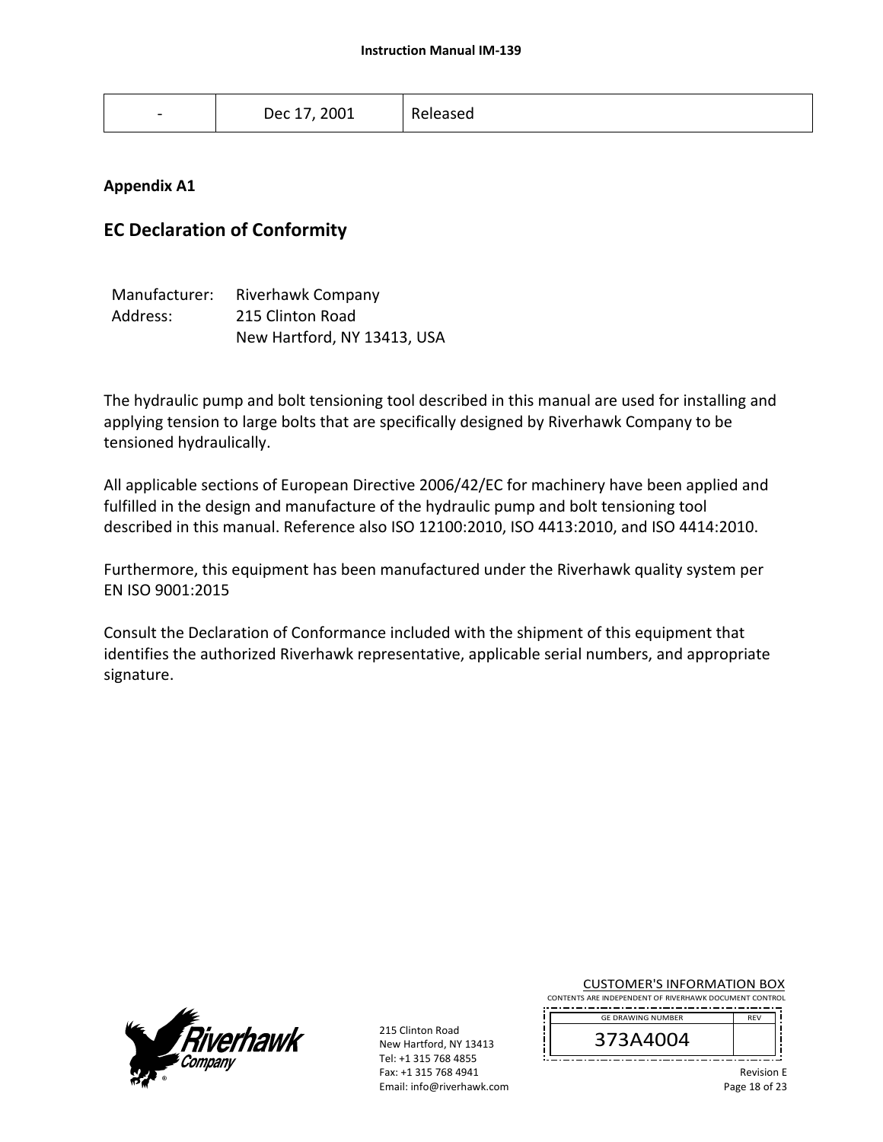| $\overline{\phantom{a}}$ | Dec 17, 2001 | Released |  |
|--------------------------|--------------|----------|--|
|                          |              |          |  |

#### **Appendix A1**

#### **EC Declaration of Conformity**

| Manufacturer: | Riverhawk Company           |
|---------------|-----------------------------|
| Address:      | 215 Clinton Road            |
|               | New Hartford, NY 13413, USA |

The hydraulic pump and bolt tensioning tool described in this manual are used for installing and applying tension to large bolts that are specifically designed by Riverhawk Company to be tensioned hydraulically.

All applicable sections of European Directive 2006/42/EC for machinery have been applied and fulfilled in the design and manufacture of the hydraulic pump and bolt tensioning tool described in this manual. Reference also ISO 12100:2010, ISO 4413:2010, and ISO 4414:2010.

Furthermore, this equipment has been manufactured under the Riverhawk quality system per EN ISO 9001:2015

Consult the Declaration of Conformance included with the shipment of this equipment that identifies the authorized Riverhawk representative, applicable serial numbers, and appropriate signature.



215 Clinton Road New Hartford, NY 13413 Tel: +1 315 768 4855 Fax: +1 315 768 4941 Email: info@riverhawk.com

#### CUSTOMER'S INFORMATION BOX

CONTENTS ARE INDEPENDENT OF RIVERHAWK DOCUMENT CONTROL REV GE DRAWING NUMBER

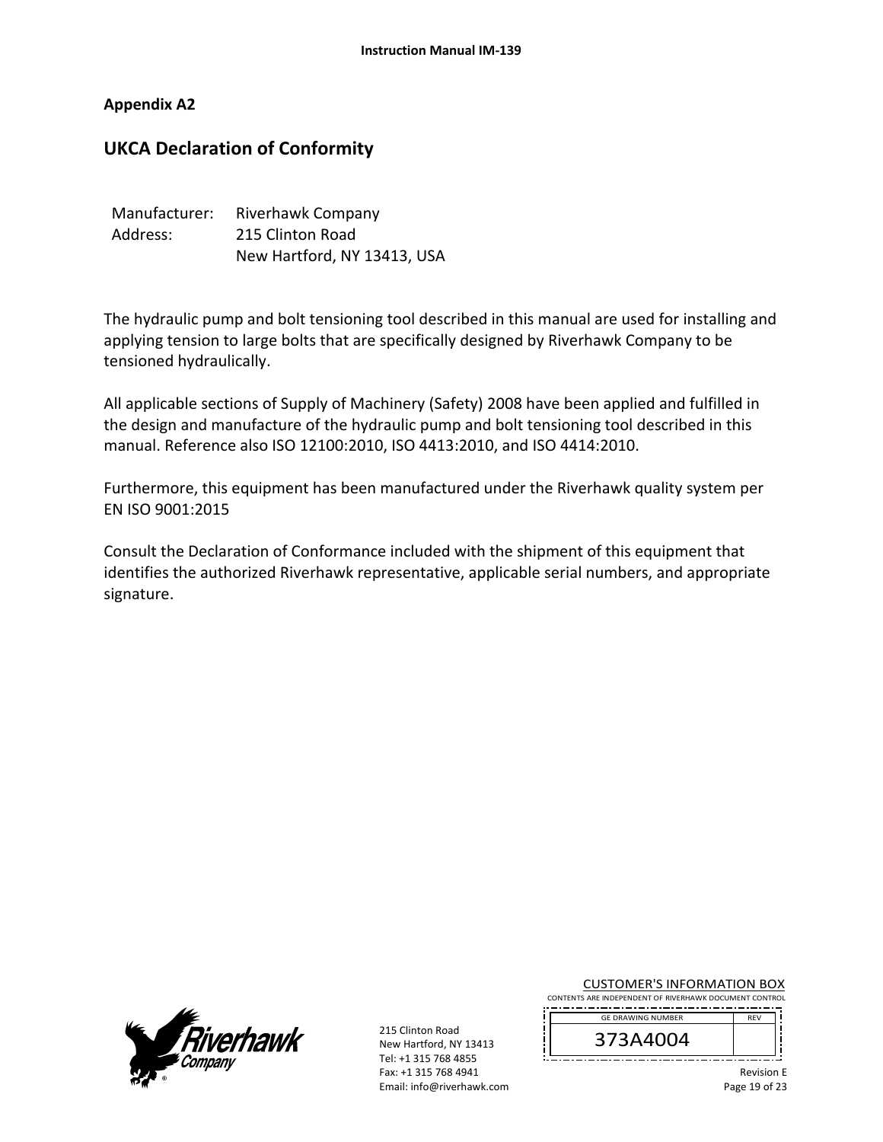**Appendix A2** 

## **UKCA Declaration of Conformity**

| Manufacturer: | Riverhawk Company           |
|---------------|-----------------------------|
| Address:      | 215 Clinton Road            |
|               | New Hartford, NY 13413, USA |

The hydraulic pump and bolt tensioning tool described in this manual are used for installing and applying tension to large bolts that are specifically designed by Riverhawk Company to be tensioned hydraulically.

All applicable sections of Supply of Machinery (Safety) 2008 have been applied and fulfilled in the design and manufacture of the hydraulic pump and bolt tensioning tool described in this manual. Reference also ISO 12100:2010, ISO 4413:2010, and ISO 4414:2010.

Furthermore, this equipment has been manufactured under the Riverhawk quality system per EN ISO 9001:2015

Consult the Declaration of Conformance included with the shipment of this equipment that identifies the authorized Riverhawk representative, applicable serial numbers, and appropriate signature.



215 Clinton Road New Hartford, NY 13413 Tel: +1 315 768 4855 Fax: +1 315 768 4941 Email: info@riverhawk.com CUSTOMER'S INFORMATION BOX

CONTENTS ARE INDEPENDENT OF RIVERHAWK DOCUMENT CONTROL ,,,,,,,,,,,,,,,,,,,,,,,,,,,,,,,,,,, REV GE DRAWING NUMBER



Revision E

Page 19 of 23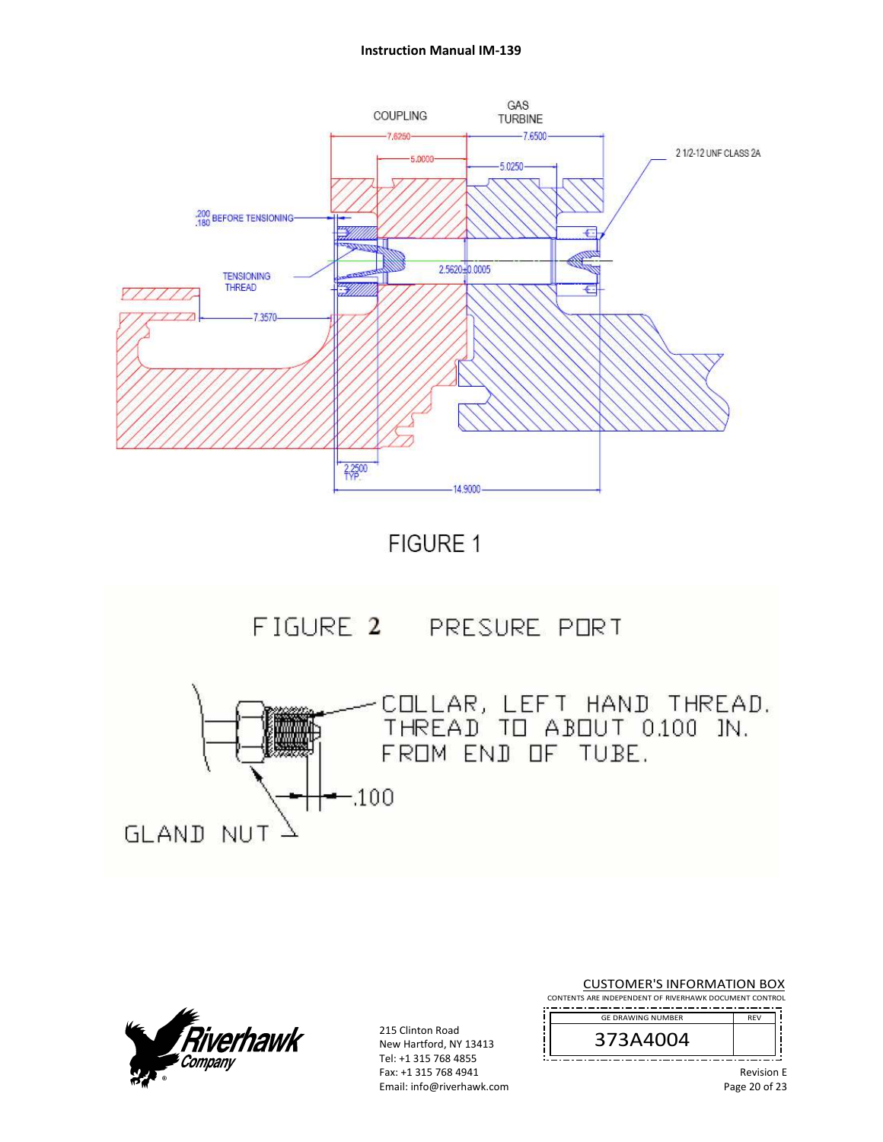#### **Instruction Manual IM‐139**









215 Clinton Road New Hartford, NY 13413 Tel: +1 315 768 4855 Fax: +1 315 768 4941 Email: info@riverhawk.com

CUSTOMER'S INFORMATION BOX CONTENTS ARE INDEPENDENT OF RIVERHAWK DOCUMENT CONTROL ----------------------REV 373A4004 GE DRAWING NUMBER Revision E

Page 20 of 23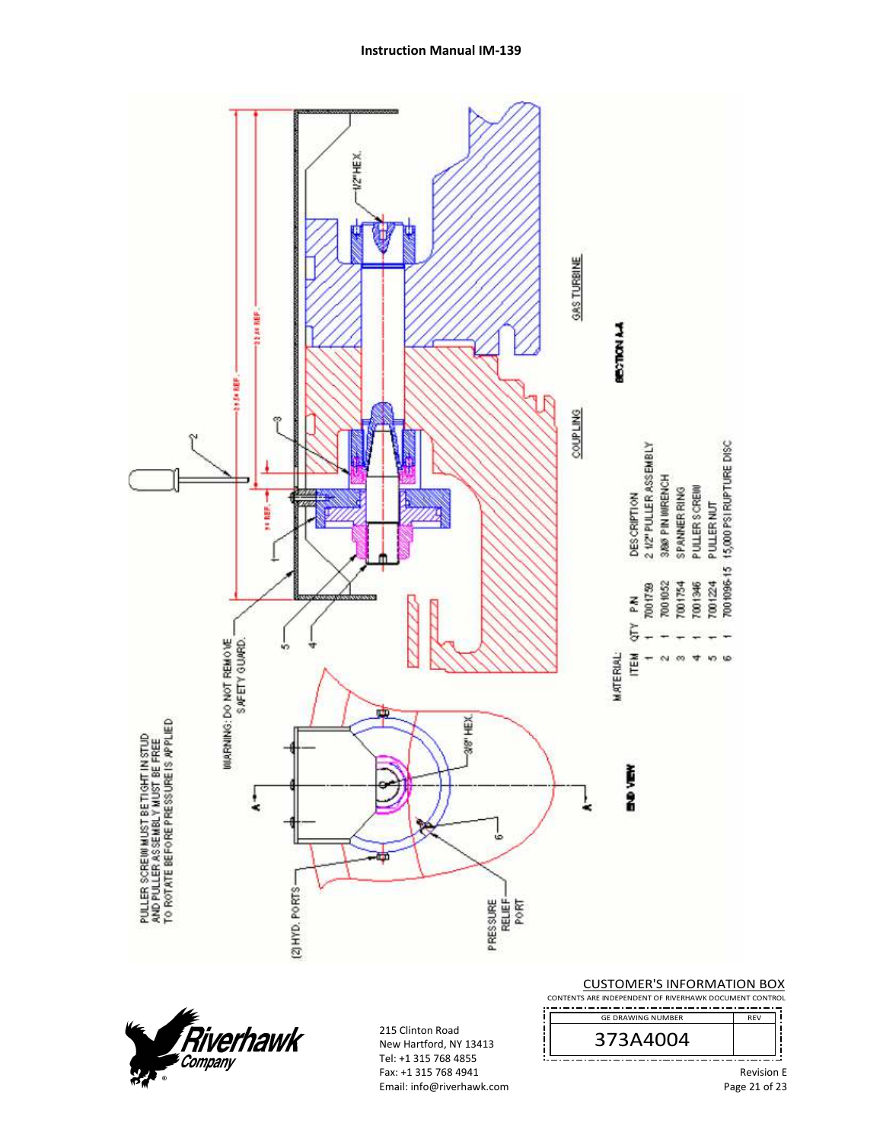

**Instruction Manual IM‐139** 



215 Clinton Road New Hartford, NY 13413 Tel: +1 315 768 4855 Fax: +1 315 768 4941 Email: info@riverhawk.com CUSTOMER'S INFORMATION BOX

CONTENTS ARE INDEPENDENT OF RIVERHAWK DOCUMENT CONTROL -------------------------------------

REV 373A4004 GE DRAWING NUMBER

> Revision E Page 21 of 23

J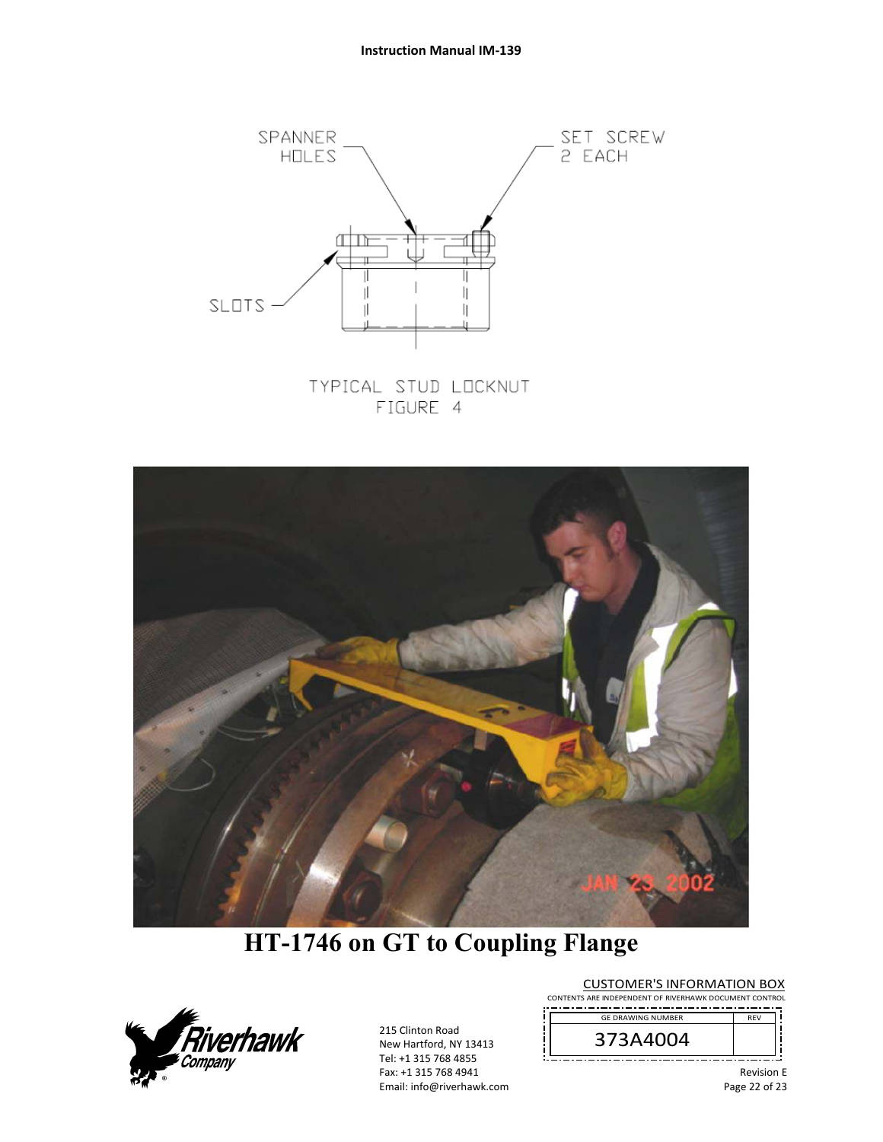

TYPICAL STUD LOCKNUT FIGURE 4



# **HT-1746 on GT to Coupling Flange**



215 Clinton Road New Hartford, NY 13413 Tel: +1 315 768 4855 Fax: +1 315 768 4941 Email: info@riverhawk.com CUSTOMER'S INFORMATION BOX

CONTENTS ARE INDEPENDENT OF RIVERHAWK DOCUMENT CONTROL -------------------------------------